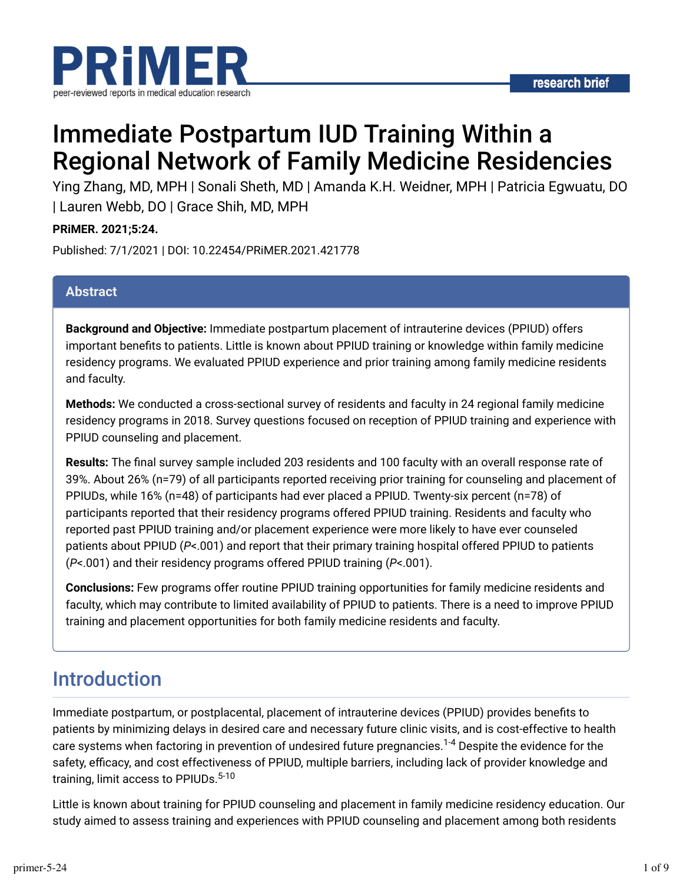

# Immediate Postpartum IUD Training Within a Regional Network of Family Medicine Residencies

Ying Zhang, MD, MPH | Sonali Sheth, MD | Amanda K.H. Weidner, MPH | Patricia Egwuatu, DO | Lauren Webb, DO | Grace Shih, MD, MPH

#### **PRiMER. 2021;5:24.**

Published: 7/1/2021 | DOI: 10.22454/PRiMER.2021.421778

#### **Abstract**

**Background and Objective:** Immediate postpartum placement of intrauterine devices (PPIUD) offers important benefits to patients. Little is known about PPIUD training or knowledge within family medicine residency programs. We evaluated PPIUD experience and prior training among family medicine residents and faculty.

**Methods:** We conducted a cross-sectional survey of residents and faculty in 24 regional family medicine residency programs in 2018. Survey questions focused on reception of PPIUD training and experience with PPIUD counseling and placement.

**Results:** The final survey sample included 203 residents and 100 faculty with an overall response rate of 39%. About 26% (n=79) of all participants reported receiving prior training for counseling and placement of PPIUDs, while 16% (n=48) of participants had ever placed a PPIUD. Twenty-six percent (n=78) of participants reported that their residency programs offered PPIUD training. Residents and faculty who reported past PPIUD training and/or placement experience were more likely to have ever counseled patients about PPIUD (*P*<.001) and report that their primary training hospital offered PPIUD to patients (*P*<.001) and their residency programs offered PPIUD training (*P*<.001).

**Conclusions:** Few programs offer routine PPIUD training opportunities for family medicine residents and faculty, which may contribute to limited availability of PPIUD to patients. There is a need to improve PPIUD training and placement opportunities for both family medicine residents and faculty.

## Introduction

Immediate postpartum, or postplacental, placement of intrauterine devices (PPIUD) provides benefits to patients by minimizing delays in desired care and necessary future clinic visits, and is cost-effective to health care systems when factoring in prevention of undesired future pregnancies.<sup>1-4</sup> Despite the evidence for the safety, efficacy, and cost effectiveness of PPIUD, multiple barriers, including lack of provider knowledge and training, limit access to PPIUDs. 5-10

Little is known about training for PPIUD counseling and placement in family medicine residency education. Our study aimed to assess training and experiences with PPIUD counseling and placement among both residents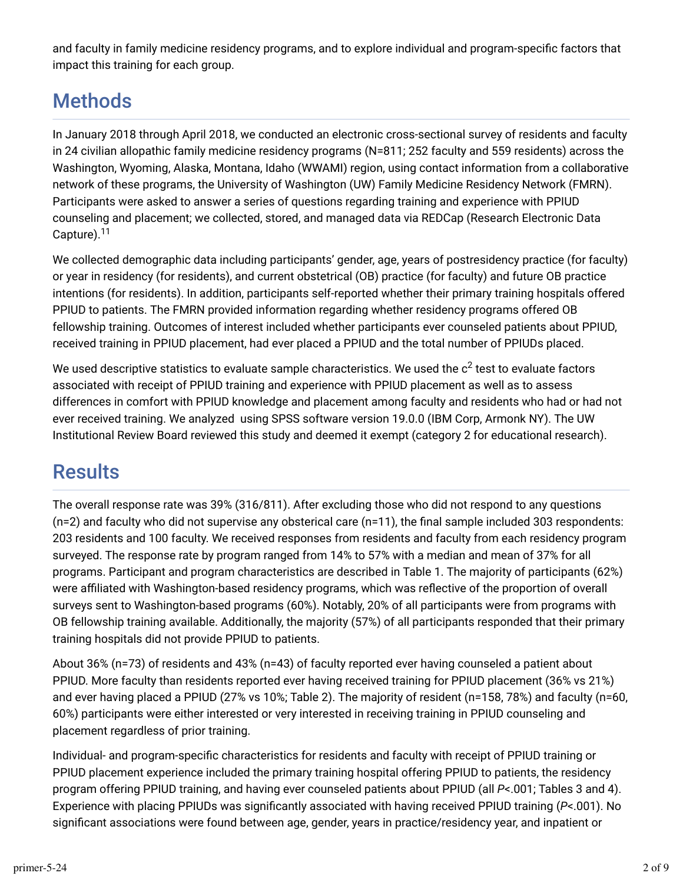and faculty in family medicine residency programs, and to explore individual and program-specific factors that impact this training for each group.

## **Methods**

In January 2018 through April 2018, we conducted an electronic cross-sectional survey of residents and faculty in 24 civilian allopathic family medicine residency programs (N=811; 252 faculty and 559 residents) across the Washington, Wyoming, Alaska, Montana, Idaho (WWAMI) region, using contact information from a collaborative network of these programs, the University of Washington (UW) Family Medicine Residency Network (FMRN). Participants were asked to answer a series of questions regarding training and experience with PPIUD counseling and placement; we collected, stored, and managed data via REDCap (Research Electronic Data Capture).<sup>11</sup>

We collected demographic data including participants' gender, age, years of postresidency practice (for faculty) or year in residency (for residents), and current obstetrical (OB) practice (for faculty) and future OB practice intentions (for residents). In addition, participants self-reported whether their primary training hospitals offered PPIUD to patients. The FMRN provided information regarding whether residency programs offered OB fellowship training. Outcomes of interest included whether participants ever counseled patients about PPIUD, received training in PPIUD placement, had ever placed a PPIUD and the total number of PPIUDs placed.

We used descriptive statistics to evaluate sample characteristics. We used the  $\rm c^2$  test to evaluate factors associated with receipt of PPIUD training and experience with PPIUD placement as well as to assess differences in comfort with PPIUD knowledge and placement among faculty and residents who had or had not ever received training. We analyzed using SPSS software version 19.0.0 (IBM Corp, Armonk NY). The UW Institutional Review Board reviewed this study and deemed it exempt (category 2 for educational research).

## **Results**

The overall response rate was 39% (316/811). After excluding those who did not respond to any questions  $(n=2)$  and faculty who did not supervise any obsterical care  $(n=11)$ , the final sample included 303 respondents: 203 residents and 100 faculty. We received responses from residents and faculty from each residency program surveyed. The response rate by program ranged from 14% to 57% with a median and mean of 37% for all programs. Participant and program characteristics are described in Table 1. The majority of participants (62%) were affiliated with Washington-based residency programs, which was reflective of the proportion of overall surveys sent to Washington-based programs (60%). Notably, 20% of all participants were from programs with OB fellowship training available. Additionally, the majority (57%) of all participants responded that their primary training hospitals did not provide PPIUD to patients.

About 36% (n=73) of residents and 43% (n=43) of faculty reported ever having counseled a patient about PPIUD. More faculty than residents reported ever having received training for PPIUD placement (36% vs 21%) and ever having placed a PPIUD (27% vs 10%; Table 2). The majority of resident (n=158, 78%) and faculty (n=60, 60%) participants were either interested or very interested in receiving training in PPIUD counseling and placement regardless of prior training.

Individual- and program-specific characteristics for residents and faculty with receipt of PPIUD training or PPIUD placement experience included the primary training hospital offering PPIUD to patients, the residency program offering PPIUD training, and having ever counseled patients about PPIUD (all *P*<.001; Tables 3 and 4). Experience with placing PPIUDs was significantly associated with having received PPIUD training (P<.001). No significant associations were found between age, gender, years in practice/residency year, and inpatient or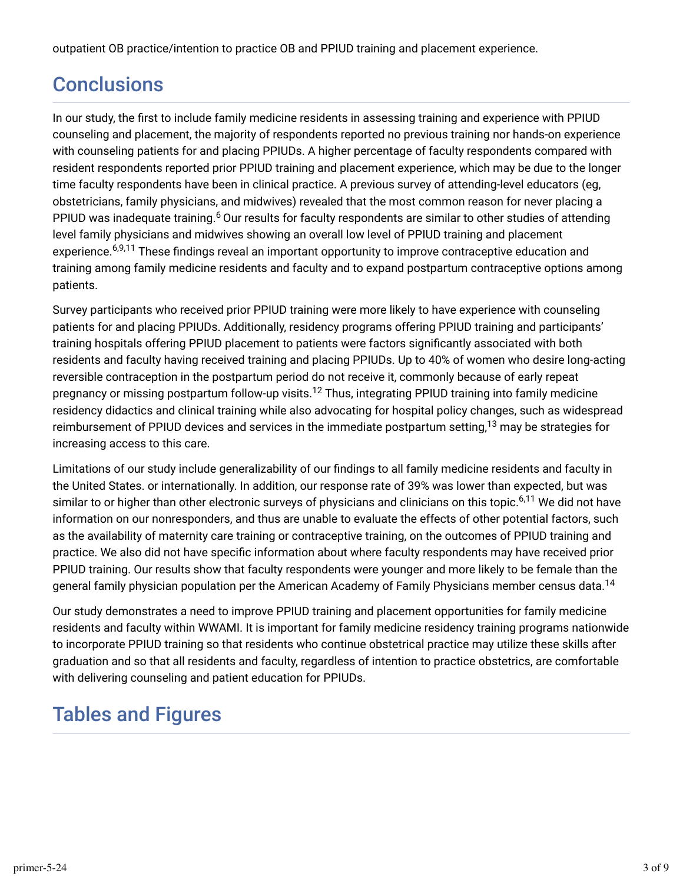outpatient OB practice/intention to practice OB and PPIUD training and placement experience.

## **Conclusions**

In our study, the first to include family medicine residents in assessing training and experience with PPIUD counseling and placement, the majority of respondents reported no previous training nor hands-on experience with counseling patients for and placing PPIUDs. A higher percentage of faculty respondents compared with resident respondents reported prior PPIUD training and placement experience, which may be due to the longer time faculty respondents have been in clinical practice. A previous survey of attending-level educators (eg, obstetricians, family physicians, and midwives) revealed that the most common reason for never placing a PPIUD was inadequate training.<sup>6</sup> Our results for faculty respondents are similar to other studies of attending level family physicians and midwives showing an overall low level of PPIUD training and placement experience.<sup>6,9,11</sup> These findings reveal an important opportunity to improve contraceptive education and training among family medicine residents and faculty and to expand postpartum contraceptive options among patients.

Survey participants who received prior PPIUD training were more likely to have experience with counseling patients for and placing PPIUDs. Additionally, residency programs offering PPIUD training and participants' training hospitals offering PPIUD placement to patients were factors significantly associated with both residents and faculty having received training and placing PPIUDs. Up to 40% of women who desire long-acting reversible contraception in the postpartum period do not receive it, commonly because of early repeat pregnancy or missing postpartum follow-up visits.<sup>12</sup> Thus, integrating PPIUD training into family medicine residency didactics and clinical training while also advocating for hospital policy changes, such as widespread reimbursement of PPIUD devices and services in the immediate postpartum setting, $^{13}$  may be strategies for increasing access to this care.

Limitations of our study include generalizability of our findings to all family medicine residents and faculty in the United States. or internationally. In addition, our response rate of 39% was lower than expected, but was similar to or higher than other electronic surveys of physicians and clinicians on this topic.<sup>6,11</sup> We did not have information on our nonresponders, and thus are unable to evaluate the effects of other potential factors, such as the availability of maternity care training or contraceptive training, on the outcomes of PPIUD training and practice. We also did not have specific information about where faculty respondents may have received prior PPIUD training. Our results show that faculty respondents were younger and more likely to be female than the general family physician population per the American Academy of Family Physicians member census data. 14

Our study demonstrates a need to improve PPIUD training and placement opportunities for family medicine residents and faculty within WWAMI. It is important for family medicine residency training programs nationwide to incorporate PPIUD training so that residents who continue obstetrical practice may utilize these skills after graduation and so that all residents and faculty, regardless of intention to practice obstetrics, are comfortable with delivering counseling and patient education for PPIUDs.

## Tables and Figures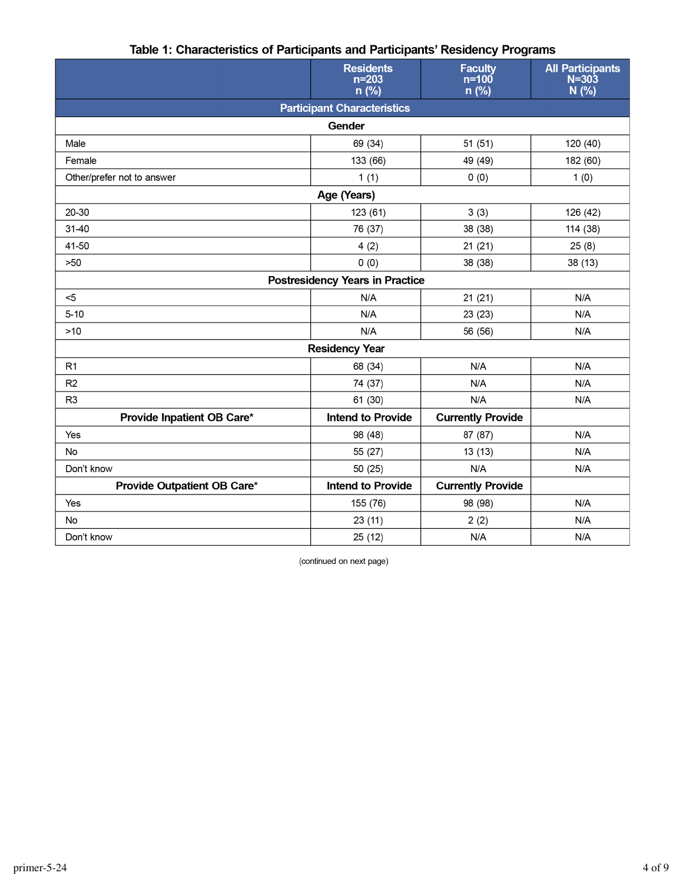|                             | <b>Residents</b><br>$n = 203$<br>$n$ (%) | <b>Faculty</b><br>$n=100$<br>n (%) | <b>All Participants</b><br>$N = 303$<br>N(% ) |  |  |  |
|-----------------------------|------------------------------------------|------------------------------------|-----------------------------------------------|--|--|--|
|                             | <b>Participant Characteristics</b>       |                                    |                                               |  |  |  |
|                             | Gender                                   |                                    |                                               |  |  |  |
| Male                        | 69 (34)                                  | 51(51)                             | 120 (40)                                      |  |  |  |
| Female                      | 133 (66)                                 | 49 (49)                            | 182 (60)                                      |  |  |  |
| Other/prefer not to answer  | 1(1)                                     | 0(0)                               | 1(0)                                          |  |  |  |
| Age (Years)                 |                                          |                                    |                                               |  |  |  |
| 20-30                       | 123 (61)                                 | 3(3)                               | 126 (42)                                      |  |  |  |
| $31 - 40$                   | 76 (37)                                  | 38 (38)                            | 114 (38)                                      |  |  |  |
| 41-50                       | 4(2)                                     | 21(21)                             | 25(8)                                         |  |  |  |
| >50                         | 0(0)                                     | 38 (38)                            | 38 (13)                                       |  |  |  |
|                             | <b>Postresidency Years in Practice</b>   |                                    |                                               |  |  |  |
| $5$                         | N/A                                      | 21(21)                             | N/A                                           |  |  |  |
| $5 - 10$                    | N/A                                      | 23 (23)                            | N/A                                           |  |  |  |
| $>10$                       | N/A                                      | 56 (56)                            | N/A                                           |  |  |  |
| <b>Residency Year</b>       |                                          |                                    |                                               |  |  |  |
| R <sub>1</sub>              | 68 (34)                                  | N/A                                | N/A                                           |  |  |  |
| R <sub>2</sub>              | 74 (37)                                  | N/A                                | N/A                                           |  |  |  |
| R <sub>3</sub>              | 61 (30)                                  | N/A                                | N/A                                           |  |  |  |
| Provide Inpatient OB Care*  | <b>Intend to Provide</b>                 | <b>Currently Provide</b>           |                                               |  |  |  |
| Yes                         | 98 (48)                                  | 87 (87)                            | N/A                                           |  |  |  |
| No                          | 55 (27)                                  | 13(13)                             | N/A                                           |  |  |  |
| Don't know                  | 50 (25)                                  | N/A                                | N/A                                           |  |  |  |
| Provide Outpatient OB Care* | <b>Intend to Provide</b>                 | <b>Currently Provide</b>           |                                               |  |  |  |
| Yes                         | 155 (76)                                 | 98 (98)                            | N/A                                           |  |  |  |
| <b>No</b>                   | 23(11)                                   | 2(2)                               | N/A                                           |  |  |  |
| Don't know                  | 25 (12)                                  | N/A                                | N/A                                           |  |  |  |

#### Table 1: Characteristics of Participants and Participants' Residency Programs

(continued on next page)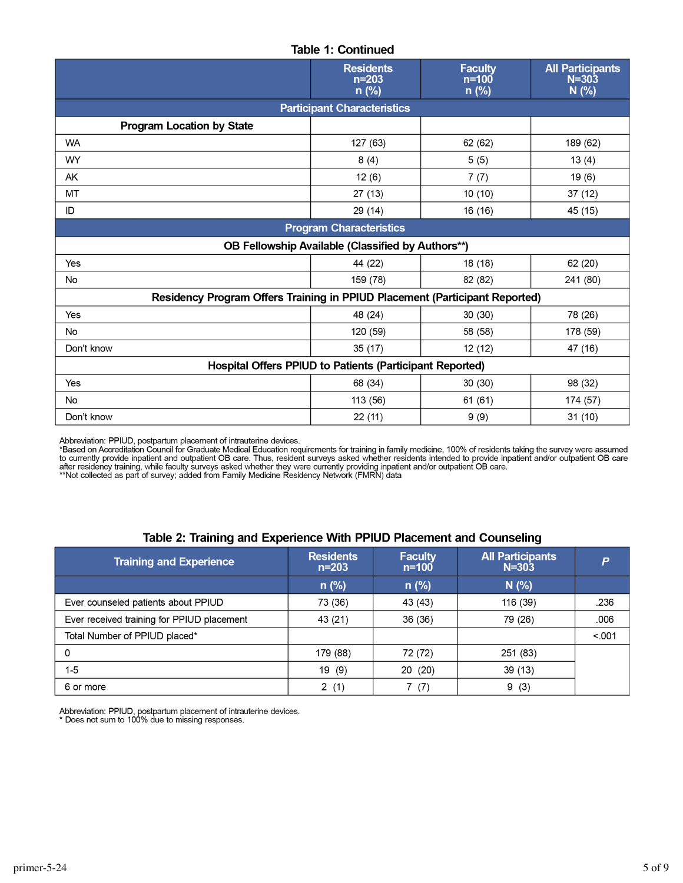#### **Table 1: Continued**

|                                                                             | <b>Residents</b><br>$n = 203$<br>$n$ (%)          | <b>Faculty</b><br>$n=100$<br>$n$ (%) | <b>All Participants</b><br>$N = 303$<br>N(% ) |  |
|-----------------------------------------------------------------------------|---------------------------------------------------|--------------------------------------|-----------------------------------------------|--|
|                                                                             | <b>Participant Characteristics</b>                |                                      |                                               |  |
| <b>Program Location by State</b>                                            |                                                   |                                      |                                               |  |
| <b>WA</b>                                                                   | 127 (63)                                          | 62 (62)                              | 189 (62)                                      |  |
| WY                                                                          | 8(4)                                              | 5(5)                                 | 13(4)                                         |  |
| AK                                                                          | 12(6)                                             | 7(7)                                 | 19(6)                                         |  |
| MT                                                                          | 27(13)                                            | 10(10)                               | 37 (12)                                       |  |
| ID                                                                          | 29 (14)                                           | 16 (16)                              | 45 (15)                                       |  |
| <b>Program Characteristics</b>                                              |                                                   |                                      |                                               |  |
|                                                                             | OB Fellowship Available (Classified by Authors**) |                                      |                                               |  |
| Yes                                                                         | 44 (22)                                           | 18 (18)                              | 62 (20)                                       |  |
| No                                                                          | 159 (78)                                          | 82 (82)                              | 241 (80)                                      |  |
| Residency Program Offers Training in PPIUD Placement (Participant Reported) |                                                   |                                      |                                               |  |
| Yes                                                                         | 48 (24)                                           | 30(30)                               | 78 (26)                                       |  |
| No                                                                          | 120 (59)                                          | 58 (58)                              | 178 (59)                                      |  |
| Don't know                                                                  | 35(17)                                            | 12 (12)                              | 47 (16)                                       |  |
| Hospital Offers PPIUD to Patients (Participant Reported)                    |                                                   |                                      |                                               |  |
| Yes                                                                         | 68 (34)                                           | 30(30)                               | 98 (32)                                       |  |
| No                                                                          | 113 (56)                                          | 61(61)                               | 174 (57)                                      |  |
| Don't know                                                                  | 22(11)                                            | 9(9)                                 | 31(10)                                        |  |

Abbreviation: PPIUD, postpartum placement of intrauterine devices.<br>\*Based on Accreditation Council for Graduate Medical Education requirements for training in family medicine, 100% of residents taking the survey were assum

#### Table 2: Training and Experience With PPIUD Placement and Counseling

| <b>Training and Experience</b>             | <b>Residents</b><br>$n = 203$ | <b>Faculty</b><br>$n = 100$ | <b>All Participants</b><br>$N = 303$ | P      |
|--------------------------------------------|-------------------------------|-----------------------------|--------------------------------------|--------|
|                                            | $n$ (%)                       | $n$ (%)                     | N(%)                                 |        |
| Ever counseled patients about PPIUD        | 73 (36)                       | 43 (43)                     | 116 (39)                             | .236   |
| Ever received training for PPIUD placement | 43 (21)                       | 36 (36)                     | 79 (26)                              | .006   |
| Total Number of PPIUD placed*              |                               |                             |                                      | < .001 |
| 0                                          | 179 (88)                      | 72 (72)                     | 251 (83)                             |        |
| $1 - 5$                                    | 19 (9)                        | 20 (20)                     | 39(13)                               |        |
| 6 or more                                  | 2(1)                          | 7(7)                        | 9(3)                                 |        |

Abbreviation: PPIUD, postpartum placement of intrauterine devices.<br>\* Does not sum to 100% due to missing responses.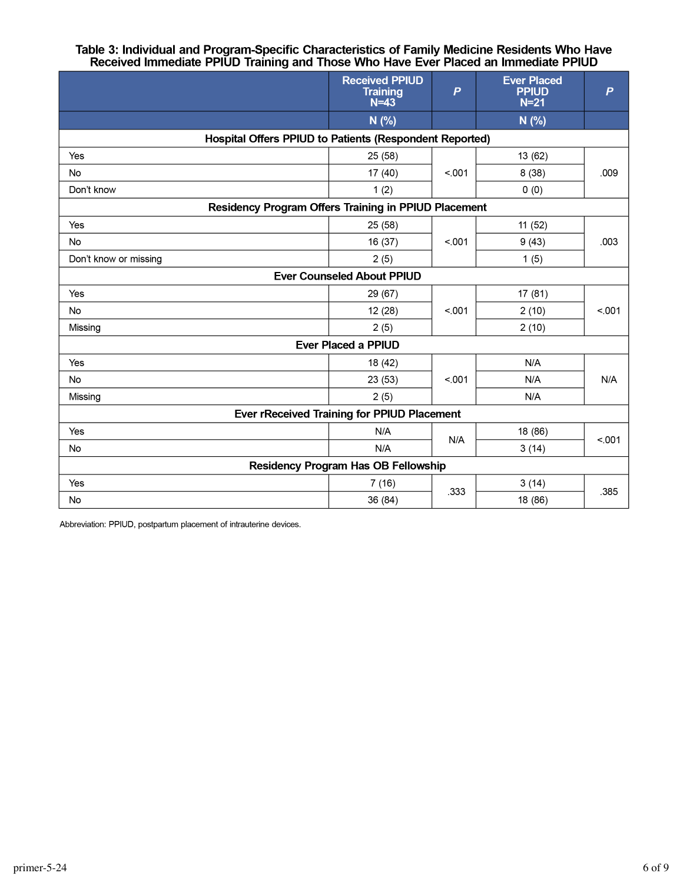# Table 3: Individual and Program-Specific Characteristics of Family Medicine Residents Who Have<br>Received Immediate PPIUD Training and Those Who Have Ever Placed an Immediate PPIUD

|                                                         | <b>Received PPIUD</b><br><b>Training</b><br>$N=43$ | $\boldsymbol{P}$ | <b>Ever Placed</b><br><b>PPIUD</b><br>$N=21$ | $\overline{P}$ |
|---------------------------------------------------------|----------------------------------------------------|------------------|----------------------------------------------|----------------|
|                                                         | N (%)                                              |                  | N(%)                                         |                |
| Hospital Offers PPIUD to Patients (Respondent Reported) |                                                    |                  |                                              |                |
| Yes                                                     | 25 (58)                                            |                  | 13 (62)                                      | .009           |
| No                                                      | 17(40)                                             | < 001            | 8(38)                                        |                |
| Don't know                                              | 1(2)                                               |                  | 0(0)                                         |                |
| Residency Program Offers Training in PPIUD Placement    |                                                    |                  |                                              |                |
| Yes                                                     | 25 (58)                                            | < 0.01           | 11 (52)                                      | .003           |
| <b>No</b>                                               | 16 (37)                                            |                  | 9(43)                                        |                |
| Don't know or missing                                   | 2(5)                                               |                  | 1(5)                                         |                |
|                                                         | <b>Ever Counseled About PPIUD</b>                  |                  |                                              |                |
| Yes                                                     | 29 (67)                                            |                  | 17 (81)                                      | < 0.01         |
| <b>No</b>                                               | 12(28)                                             | < .001           | 2(10)                                        |                |
| Missing                                                 | 2(5)                                               |                  | 2(10)                                        |                |
|                                                         | <b>Ever Placed a PPIUD</b>                         |                  |                                              |                |
| Yes                                                     | 18 (42)                                            |                  | N/A                                          | N/A            |
| <b>No</b>                                               | 23(53)                                             | < 001            | N/A                                          |                |
| Missing                                                 | 2(5)                                               |                  | N/A                                          |                |
|                                                         | <b>Ever rReceived Training for PPIUD Placement</b> |                  |                                              |                |
| Yes                                                     | N/A                                                |                  | 18 (86)                                      | < 001          |
| No                                                      | N/A                                                | N/A              | 3(14)                                        |                |
| <b>Residency Program Has OB Fellowship</b>              |                                                    |                  |                                              |                |
| Yes                                                     | 7(16)                                              | .333             | 3(14)                                        | .385           |
| No                                                      | 36 (84)                                            |                  | 18 (86)                                      |                |

Abbreviation: PPIUD, postpartum placement of intrauterine devices.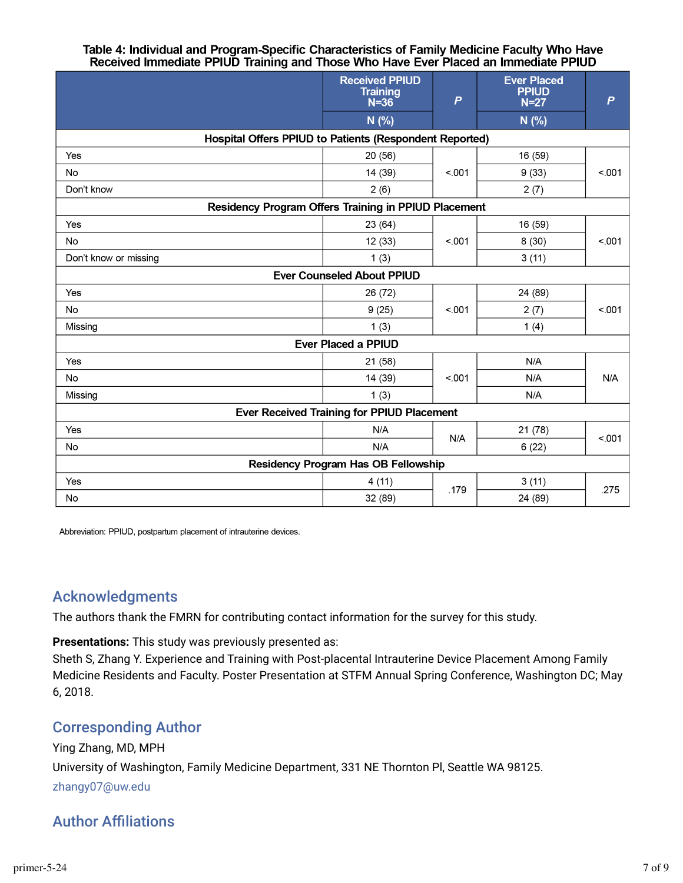# Table 4: Individual and Program-Specific Characteristics of Family Medicine Faculty Who Have<br>Received Immediate PPIUD Training and Those Who Have Ever Placed an Immediate PPIUD

|                                                         | <b>Received PPIUD</b><br><b>Training</b><br>$N = 36$ | $\overline{P}$ | <b>Ever Placed</b><br><b>PPIUD</b><br>$N=27$ | $\overline{P}$ |
|---------------------------------------------------------|------------------------------------------------------|----------------|----------------------------------------------|----------------|
|                                                         | N(% )                                                |                | N(% )                                        |                |
| Hospital Offers PPIUD to Patients (Respondent Reported) |                                                      |                |                                              |                |
| Yes                                                     | 20 (56)                                              |                | 16 (59)                                      | < 001          |
| No                                                      | 14 (39)                                              | < 001          | 9(33)                                        |                |
| Don't know                                              | 2(6)                                                 |                | 2(7)                                         |                |
| Residency Program Offers Training in PPIUD Placement    |                                                      |                |                                              |                |
| Yes                                                     | 23(64)                                               |                | 16 (59)                                      | < 0.01         |
| <b>No</b>                                               | 12(33)                                               | < .001         | 8(30)                                        |                |
| Don't know or missing                                   | 1(3)                                                 |                | 3(11)                                        |                |
|                                                         | <b>Ever Counseled About PPIUD</b>                    |                |                                              |                |
| Yes                                                     | 26 (72)                                              |                | 24 (89)                                      | < 001          |
| No                                                      | 9(25)                                                | < 0.001        | 2(7)                                         |                |
| Missing                                                 | 1(3)                                                 |                | 1(4)                                         |                |
|                                                         | <b>Ever Placed a PPIUD</b>                           |                |                                              |                |
| Yes                                                     | 21 (58)                                              |                | N/A                                          | N/A            |
| <b>No</b>                                               | 14 (39)                                              | < .001         | N/A                                          |                |
| Missing                                                 | 1(3)                                                 |                | N/A                                          |                |
| <b>Ever Received Training for PPIUD Placement</b>       |                                                      |                |                                              |                |
| Yes                                                     | N/A                                                  |                | 21 (78)                                      | < 001          |
| No                                                      | N/A                                                  | N/A            | 6(22)                                        |                |
| <b>Residency Program Has OB Fellowship</b>              |                                                      |                |                                              |                |
| Yes                                                     | 4(11)                                                | .179           | 3(11)                                        | .275           |
| No                                                      | 32 (89)                                              |                | 24 (89)                                      |                |

Abbreviation: PPIUD, postpartum placement of intrauterine devices.

### Acknowledgments

The authors thank the FMRN for contributing contact information for the survey for this study.

**Presentations:** This study was previously presented as:

Sheth S, Zhang Y. Experience and Training with Post-placental Intrauterine Device Placement Among Family Medicine Residents and Faculty. Poster Presentation at STFM Annual Spring Conference, Washington DC; May 6, 2018.

### Corresponding Author

### Ying Zhang, MD, MPH University of Washington, Family Medicine Department, 331 NE Thornton Pl, Seattle WA 98125. zhangy07@uw.edu

### **Author Affiliations**